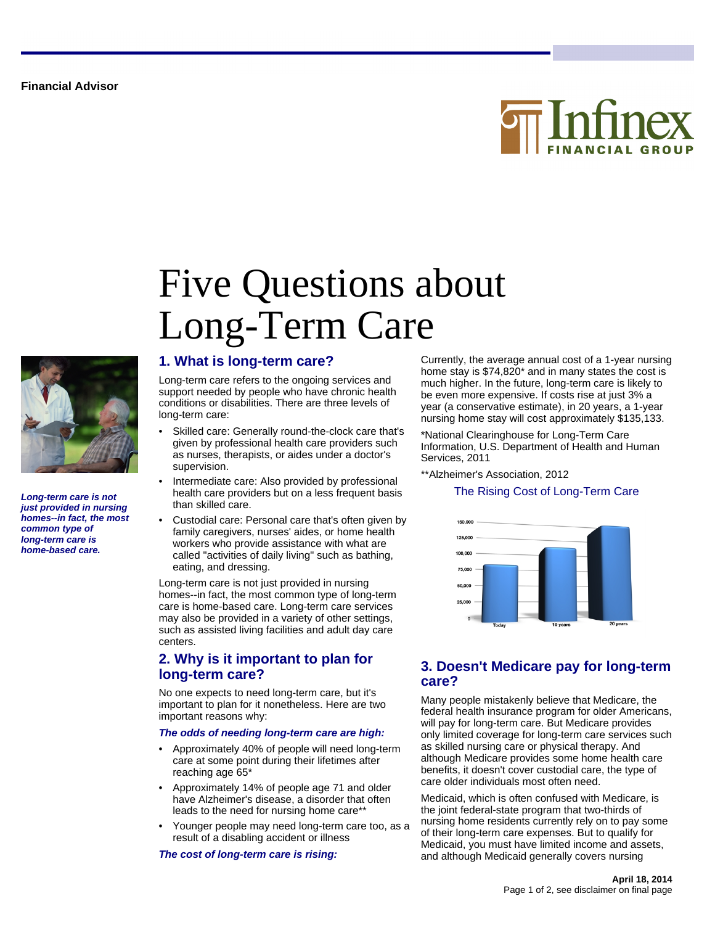**Financial Advisor**





**Long-term care is not just provided in nursing homes--in fact, the most common type of long-term care is home-based care.**

## **1. What is long-term care?**

Long-term care refers to the ongoing services and support needed by people who have chronic health conditions or disabilities. There are three levels of long-term care:

Long-Term Care

Five Questions about

- Skilled care: Generally round-the-clock care that's given by professional health care providers such as nurses, therapists, or aides under a doctor's supervision.
- Intermediate care: Also provided by professional health care providers but on a less frequent basis than skilled care.
- Custodial care: Personal care that's often given by family caregivers, nurses' aides, or home health workers who provide assistance with what are called "activities of daily living" such as bathing, eating, and dressing.

Long-term care is not just provided in nursing homes--in fact, the most common type of long-term care is home-based care. Long-term care services may also be provided in a variety of other settings, such as assisted living facilities and adult day care centers.

### **2. Why is it important to plan for long-term care?**

No one expects to need long-term care, but it's important to plan for it nonetheless. Here are two important reasons why:

#### **The odds of needing long-term care are high:**

- Approximately 40% of people will need long-term care at some point during their lifetimes after reaching age 65\*
- Approximately 14% of people age 71 and older have Alzheimer's disease, a disorder that often leads to the need for nursing home care\*\*
- Younger people may need long-term care too, as a result of a disabling accident or illness

**The cost of long-term care is rising:**

Currently, the average annual cost of a 1-year nursing home stay is \$74,820\* and in many states the cost is much higher. In the future, long-term care is likely to be even more expensive. If costs rise at just 3% a year (a conservative estimate), in 20 years, a 1-year nursing home stay will cost approximately \$135,133.

\*National Clearinghouse for Long-Term Care Information, U.S. Department of Health and Human Services, 2011

\*\*Alzheimer's Association, 2012

#### The Rising Cost of Long-Term Care



### **3. Doesn't Medicare pay for long-term care?**

Many people mistakenly believe that Medicare, the federal health insurance program for older Americans, will pay for long-term care. But Medicare provides only limited coverage for long-term care services such as skilled nursing care or physical therapy. And although Medicare provides some home health care benefits, it doesn't cover custodial care, the type of care older individuals most often need.

Medicaid, which is often confused with Medicare, is the joint federal-state program that two-thirds of nursing home residents currently rely on to pay some of their long-term care expenses. But to qualify for Medicaid, you must have limited income and assets, and although Medicaid generally covers nursing